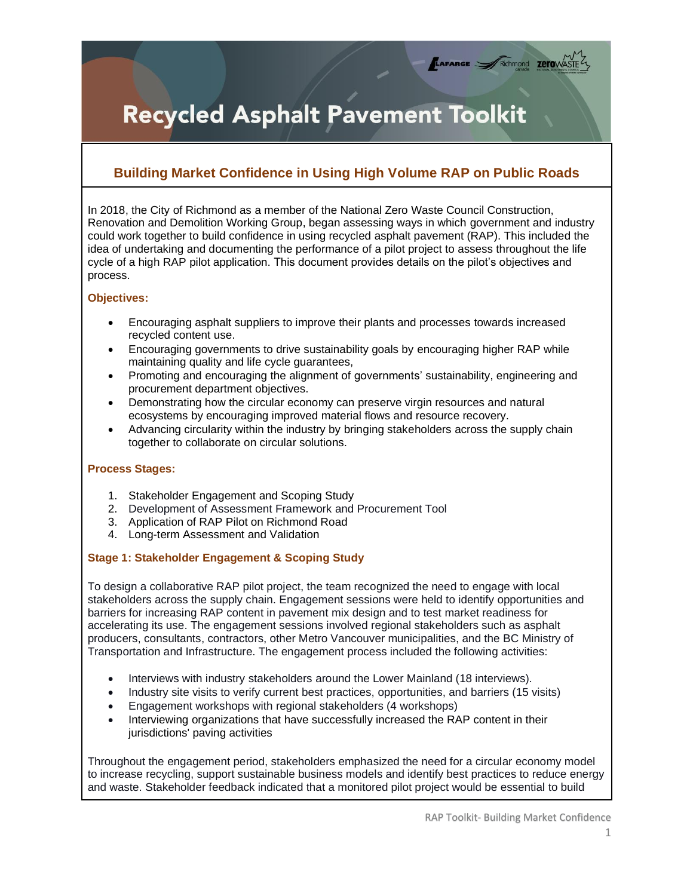# **Recycled Asphalt Pavement Toolkit**

# **Building Market Confidence in Using High Volume RAP on Public Roads**

In 2018, the City of Richmond as a member of the National Zero Waste Council Construction, Renovation and Demolition Working Group, began assessing ways in which government and industry could work together to build confidence in using recycled asphalt pavement (RAP). This included the idea of undertaking and documenting the performance of a pilot project to assess throughout the life cycle of a high RAP pilot application. This document provides details on the pilot's objectives and process.

### **Objectives:**

- Encouraging asphalt suppliers to improve their plants and processes towards increased recycled content use.
- Encouraging governments to drive sustainability goals by encouraging higher RAP while maintaining quality and life cycle guarantees,
- Promoting and encouraging the alignment of governments' sustainability, engineering and procurement department objectives.
- Demonstrating how the circular economy can preserve virgin resources and natural ecosystems by encouraging improved material flows and resource recovery.
- Advancing circularity within the industry by bringing stakeholders across the supply chain together to collaborate on circular solutions.

### **Process Stages:**

- 1. Stakeholder Engagement and Scoping Study
- 2. Development of Assessment Framework and Procurement Tool
- 3. Application of RAP Pilot on Richmond Road
- 4. Long-term Assessment and Validation

## **Stage 1: Stakeholder Engagement & Scoping Study**

To design a collaborative RAP pilot project, the team recognized the need to engage with local stakeholders across the supply chain. Engagement sessions were held to identify opportunities and barriers for increasing RAP content in pavement mix design and to test market readiness for accelerating its use. The engagement sessions involved regional stakeholders such as asphalt producers, consultants, contractors, other Metro Vancouver municipalities, and the BC Ministry of Transportation and Infrastructure. The engagement process included the following activities:

- Interviews with industry stakeholders around the Lower Mainland (18 interviews).
- Industry site visits to verify current best practices, opportunities, and barriers (15 visits)
- Engagement workshops with regional stakeholders (4 workshops)
- Interviewing organizations that have successfully increased the RAP content in their jurisdictions' paving activities

Throughout the engagement period, stakeholders emphasized the need for a circular economy model to increase recycling, support sustainable business models and identify best practices to reduce energy and waste. Stakeholder feedback indicated that a monitored pilot project would be essential to build

TAFARGE ARCHITECTURE TETOWASTE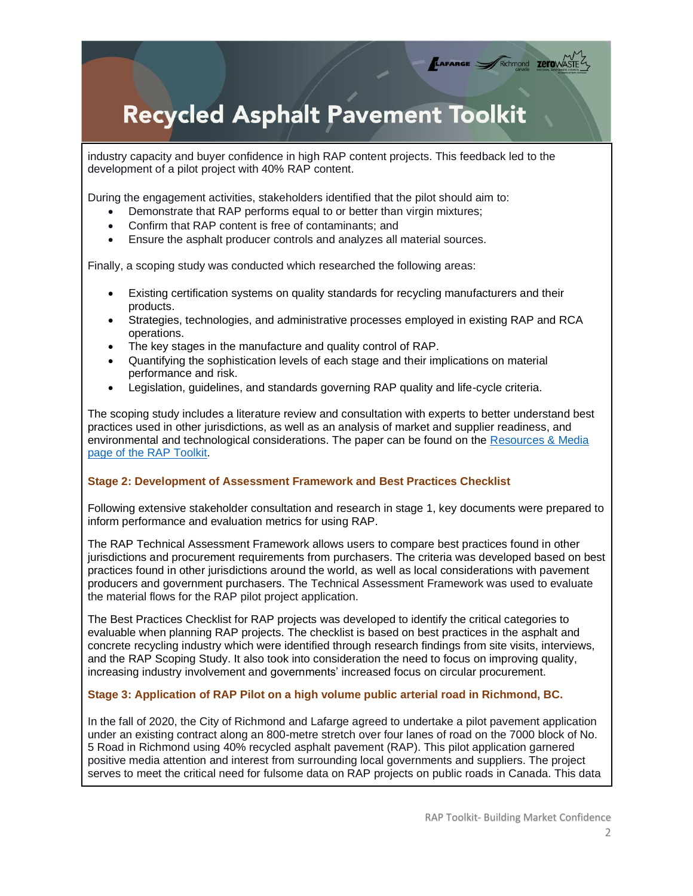# **Recycled Asphalt Pavement Toolkit**

industry capacity and buyer confidence in high RAP content projects. This feedback led to the development of a pilot project with 40% RAP content.

During the engagement activities, stakeholders identified that the pilot should aim to:

- Demonstrate that RAP performs equal to or better than virgin mixtures;
- Confirm that RAP content is free of contaminants; and
- Ensure the asphalt producer controls and analyzes all material sources.

Finally, a scoping study was conducted which researched the following areas:

- Existing certification systems on quality standards for recycling manufacturers and their products.
- Strategies, technologies, and administrative processes employed in existing RAP and RCA operations.
- The key stages in the manufacture and quality control of RAP.
- Quantifying the sophistication levels of each stage and their implications on material performance and risk.
- Legislation, guidelines, and standards governing RAP quality and life-cycle criteria.

The scoping study includes a literature review and consultation with experts to better understand best practices used in other jurisdictions, as well as an analysis of market and supplier readiness, and environmental and technological considerations. The paper can be found on the [Resources & Media](http://www.nzwc.ca/focus-areas/construction/rap-toolkit/resources/Pages/default.aspx)  [page of the RAP Toolkit.](http://www.nzwc.ca/focus-areas/construction/rap-toolkit/resources/Pages/default.aspx)

#### **Stage 2: Development of Assessment Framework and Best Practices Checklist**

Following extensive stakeholder consultation and research in stage 1, key documents were prepared to inform performance and evaluation metrics for using RAP.

The RAP Technical Assessment Framework allows users to compare best practices found in other jurisdictions and procurement requirements from purchasers. The criteria was developed based on best practices found in other jurisdictions around the world, as well as local considerations with pavement producers and government purchasers. The Technical Assessment Framework was used to evaluate the material flows for the RAP pilot project application.

The Best Practices Checklist for RAP projects was developed to identify the critical categories to evaluable when planning RAP projects. The checklist is based on best practices in the asphalt and concrete recycling industry which were identified through research findings from site visits, interviews, and the RAP Scoping Study. It also took into consideration the need to focus on improving quality, increasing industry involvement and governments' increased focus on circular procurement.

#### **Stage 3: Application of RAP Pilot on a high volume public arterial road in Richmond, BC.**

In the fall of 2020, the City of Richmond and Lafarge agreed to undertake a pilot pavement application under an existing contract along an 800-metre stretch over four lanes of road on the 7000 block of No. 5 Road in Richmond using 40% recycled asphalt pavement (RAP). This pilot application garnered positive media attention and interest from surrounding local governments and suppliers. The project serves to meet the critical need for fulsome data on RAP projects on public roads in Canada. This data

TAFARGE FRIChmond ZETOWAST